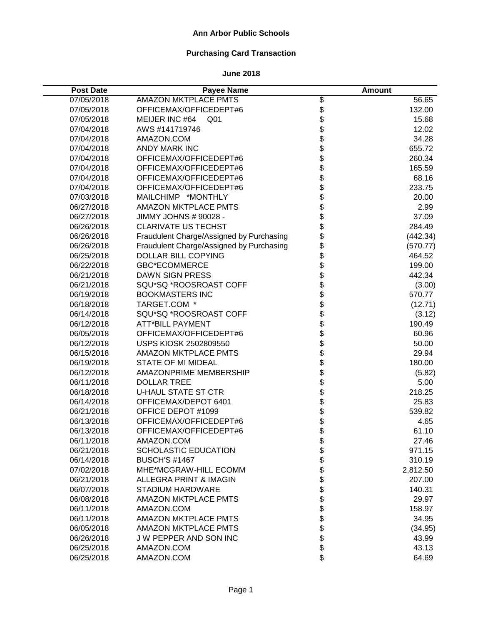# **Purchasing Card Transaction**

| <b>Post Date</b> | <b>Payee Name</b>                        |              | Amount   |
|------------------|------------------------------------------|--------------|----------|
| 07/05/2018       | <b>AMAZON MKTPLACE PMTS</b>              | \$           | 56.65    |
| 07/05/2018       | OFFICEMAX/OFFICEDEPT#6                   |              | 132.00   |
| 07/05/2018       | MEIJER INC #64<br>Q <sub>01</sub>        | \$<br>\$     | 15.68    |
| 07/04/2018       | AWS #141719746                           |              | 12.02    |
| 07/04/2018       | AMAZON.COM                               | \$<br>\$     | 34.28    |
| 07/04/2018       | <b>ANDY MARK INC</b>                     | \$\$         | 655.72   |
| 07/04/2018       | OFFICEMAX/OFFICEDEPT#6                   |              | 260.34   |
| 07/04/2018       | OFFICEMAX/OFFICEDEPT#6                   |              | 165.59   |
| 07/04/2018       | OFFICEMAX/OFFICEDEPT#6                   | \$           | 68.16    |
| 07/04/2018       | OFFICEMAX/OFFICEDEPT#6                   | \$           | 233.75   |
| 07/03/2018       | MAILCHIMP *MONTHLY                       | \$           | 20.00    |
| 06/27/2018       | <b>AMAZON MKTPLACE PMTS</b>              | \$           | 2.99     |
| 06/27/2018       | JIMMY JOHNS # 90028 -                    | \$           | 37.09    |
| 06/26/2018       | <b>CLARIVATE US TECHST</b>               | \$           | 284.49   |
| 06/26/2018       | Fraudulent Charge/Assigned by Purchasing | \$           | (442.34) |
| 06/26/2018       | Fraudulent Charge/Assigned by Purchasing |              | (570.77) |
| 06/25/2018       | <b>DOLLAR BILL COPYING</b>               |              | 464.52   |
| 06/22/2018       | <b>GBC*ECOMMERCE</b>                     | \$\$\$\$\$   | 199.00   |
| 06/21/2018       | <b>DAWN SIGN PRESS</b>                   |              | 442.34   |
| 06/21/2018       | SQU*SQ *ROOSROAST COFF                   |              | (3.00)   |
| 06/19/2018       | <b>BOOKMASTERS INC</b>                   | \$           | 570.77   |
| 06/18/2018       | TARGET.COM *                             |              | (12.71)  |
| 06/14/2018       | SQU*SQ *ROOSROAST COFF                   | \$<br>\$     | (3.12)   |
| 06/12/2018       | <b>ATT*BILL PAYMENT</b>                  | \$           | 190.49   |
| 06/05/2018       | OFFICEMAX/OFFICEDEPT#6                   | \$           | 60.96    |
| 06/12/2018       | USPS KIOSK 2502809550                    | \$           | 50.00    |
| 06/15/2018       | <b>AMAZON MKTPLACE PMTS</b>              | \$           | 29.94    |
| 06/19/2018       | <b>STATE OF MI MIDEAL</b>                | \$           | 180.00   |
| 06/12/2018       | AMAZONPRIME MEMBERSHIP                   | \$           | (5.82)   |
| 06/11/2018       | <b>DOLLAR TREE</b>                       | \$           | 5.00     |
| 06/18/2018       | <b>U-HAUL STATE ST CTR</b>               |              | 218.25   |
| 06/14/2018       | OFFICEMAX/DEPOT 6401                     |              | 25.83    |
| 06/21/2018       | OFFICE DEPOT #1099                       | <b>88888</b> | 539.82   |
| 06/13/2018       | OFFICEMAX/OFFICEDEPT#6                   |              | 4.65     |
| 06/13/2018       | OFFICEMAX/OFFICEDEPT#6                   |              | 61.10    |
| 06/11/2018       | AMAZON.COM                               | \$           | 27.46    |
| 06/21/2018       | <b>SCHOLASTIC EDUCATION</b>              |              | 971.15   |
| 06/14/2018       | <b>BUSCH'S #1467</b>                     | \$\$         | 310.19   |
| 07/02/2018       | MHE*MCGRAW-HILL ECOMM                    |              | 2,812.50 |
| 06/21/2018       | <b>ALLEGRA PRINT &amp; IMAGIN</b>        | \$           | 207.00   |
| 06/07/2018       | <b>STADIUM HARDWARE</b>                  | \$           | 140.31   |
| 06/08/2018       | <b>AMAZON MKTPLACE PMTS</b>              | \$           | 29.97    |
| 06/11/2018       | AMAZON.COM                               | \$           | 158.97   |
| 06/11/2018       | <b>AMAZON MKTPLACE PMTS</b>              | \$           | 34.95    |
| 06/05/2018       | <b>AMAZON MKTPLACE PMTS</b>              | \$           | (34.95)  |
| 06/26/2018       | J W PEPPER AND SON INC                   | \$           | 43.99    |
| 06/25/2018       | AMAZON.COM                               |              | 43.13    |
| 06/25/2018       | AMAZON.COM                               | \$           | 64.69    |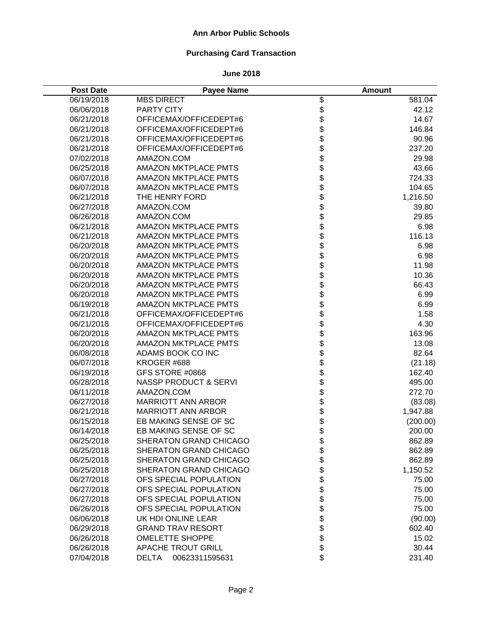# **Purchasing Card Transaction**

| <b>Post Date</b> | <b>Payee Name</b>                |            | <b>Amount</b> |
|------------------|----------------------------------|------------|---------------|
| 06/19/2018       | <b>MBS DIRECT</b>                |            | 581.04        |
| 06/06/2018       | PARTY CITY                       |            | 42.12         |
| 06/21/2018       | OFFICEMAX/OFFICEDEPT#6           | \$\$\$     | 14.67         |
| 06/21/2018       | OFFICEMAX/OFFICEDEPT#6           |            | 146.84        |
| 06/21/2018       | OFFICEMAX/OFFICEDEPT#6           | \$         | 90.96         |
| 06/21/2018       | OFFICEMAX/OFFICEDEPT#6           | \$         | 237.20        |
| 07/02/2018       | AMAZON.COM                       | \$\$       | 29.98         |
| 06/25/2018       | <b>AMAZON MKTPLACE PMTS</b>      |            | 43.66         |
| 06/07/2018       | <b>AMAZON MKTPLACE PMTS</b>      |            | 724.33        |
| 06/07/2018       | <b>AMAZON MKTPLACE PMTS</b>      | \$         | 104.65        |
| 06/21/2018       | THE HENRY FORD                   | \$         | 1,216.50      |
| 06/27/2018       | AMAZON.COM                       | \$         | 39.80         |
| 06/26/2018       | AMAZON.COM                       | \$         | 29.85         |
| 06/21/2018       | <b>AMAZON MKTPLACE PMTS</b>      | \$         | 6.98          |
| 06/21/2018       | <b>AMAZON MKTPLACE PMTS</b>      | \$         | 116.13        |
| 06/20/2018       | <b>AMAZON MKTPLACE PMTS</b>      | \$         | 6.98          |
| 06/20/2018       | <b>AMAZON MKTPLACE PMTS</b>      |            | 6.98          |
| 06/20/2018       | <b>AMAZON MKTPLACE PMTS</b>      |            | 11.98         |
| 06/20/2018       | <b>AMAZON MKTPLACE PMTS</b>      |            | 10.36         |
| 06/20/2018       | <b>AMAZON MKTPLACE PMTS</b>      |            | 66.43         |
| 06/20/2018       | <b>AMAZON MKTPLACE PMTS</b>      | \$\$\$\$\$ | 6.99          |
| 06/19/2018       | AMAZON MKTPLACE PMTS             |            | 6.99          |
| 06/21/2018       | OFFICEMAX/OFFICEDEPT#6           | \$         | 1.58          |
| 06/21/2018       | OFFICEMAX/OFFICEDEPT#6           | \$<br>\$   | 4.30          |
| 06/20/2018       | <b>AMAZON MKTPLACE PMTS</b>      |            | 163.96        |
| 06/20/2018       | <b>AMAZON MKTPLACE PMTS</b>      | \$         | 13.08         |
| 06/08/2018       | ADAMS BOOK CO INC                | \$         | 82.64         |
| 06/07/2018       | KROGER #688                      | \$         | (21.18)       |
| 06/19/2018       | GFS STORE #0868                  | \$         | 162.40        |
| 06/28/2018       | <b>NASSP PRODUCT &amp; SERVI</b> | \$         | 495.00        |
| 06/11/2018       | AMAZON.COM                       | \$         | 272.70        |
| 06/27/2018       | <b>MARRIOTT ANN ARBOR</b>        | \$<br>\$   | (83.08)       |
| 06/21/2018       | <b>MARRIOTT ANN ARBOR</b>        |            | 1,947.88      |
| 06/15/2018       | EB MAKING SENSE OF SC            | \$         | (200.00)      |
| 06/14/2018       | EB MAKING SENSE OF SC            | \$         | 200.00        |
| 06/25/2018       | SHERATON GRAND CHICAGO           | \$         | 862.89        |
| 06/25/2018       | SHERATON GRAND CHICAGO           | \$<br>\$   | 862.89        |
| 06/25/2018       | SHERATON GRAND CHICAGO           |            | 862.89        |
| 06/25/2018       | SHERATON GRAND CHICAGO           | \$         | 1,150.52      |
| 06/27/2018       | OFS SPECIAL POPULATION           | \$         | 75.00         |
| 06/27/2018       | OFS SPECIAL POPULATION           | \$         | 75.00         |
| 06/27/2018       | OFS SPECIAL POPULATION           | \$         | 75.00         |
| 06/26/2018       | OFS SPECIAL POPULATION           | \$         | 75.00         |
| 06/06/2018       | UK HDI ONLINE LEAR               | \$         | (90.00)       |
| 06/29/2018       | <b>GRAND TRAV RESORT</b>         | \$         | 602.40        |
| 06/26/2018       | <b>OMELETTE SHOPPE</b>           | \$         | 15.02         |
| 06/26/2018       | <b>APACHE TROUT GRILL</b>        | \$         | 30.44         |
| 07/04/2018       | <b>DELTA</b><br>00623311595631   | \$         | 231.40        |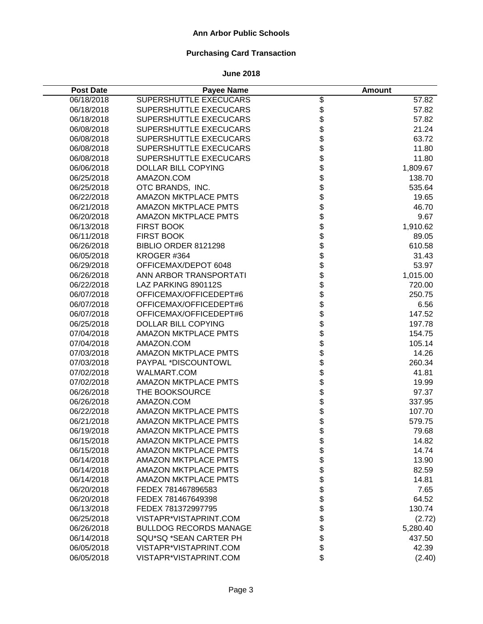# **Purchasing Card Transaction**

| <b>Post Date</b> | <b>Payee Name</b>             |          | <b>Amount</b> |
|------------------|-------------------------------|----------|---------------|
| 06/18/2018       | SUPERSHUTTLE EXECUCARS        |          | 57.82         |
| 06/18/2018       | SUPERSHUTTLE EXECUCARS        |          | 57.82         |
| 06/18/2018       | SUPERSHUTTLE EXECUCARS        | \$\$\$   | 57.82         |
| 06/08/2018       | SUPERSHUTTLE EXECUCARS        |          | 21.24         |
| 06/08/2018       | SUPERSHUTTLE EXECUCARS        | \$       | 63.72         |
| 06/08/2018       | SUPERSHUTTLE EXECUCARS        | \$       | 11.80         |
| 06/08/2018       | SUPERSHUTTLE EXECUCARS        | \$       | 11.80         |
| 06/06/2018       | <b>DOLLAR BILL COPYING</b>    |          | 1,809.67      |
| 06/25/2018       | AMAZON.COM                    | \$       | 138.70        |
| 06/25/2018       | OTC BRANDS, INC.              | \$       | 535.64        |
| 06/22/2018       | <b>AMAZON MKTPLACE PMTS</b>   | \$       | 19.65         |
| 06/21/2018       | <b>AMAZON MKTPLACE PMTS</b>   | \$       | 46.70         |
| 06/20/2018       | <b>AMAZON MKTPLACE PMTS</b>   | \$       | 9.67          |
| 06/13/2018       | <b>FIRST BOOK</b>             | \$       | 1,910.62      |
| 06/11/2018       | <b>FIRST BOOK</b>             | \$       | 89.05         |
| 06/26/2018       | BIBLIO ORDER 8121298          | \$<br>\$ | 610.58        |
| 06/05/2018       | KROGER #364                   |          | 31.43         |
| 06/29/2018       | OFFICEMAX/DEPOT 6048          | \$       | 53.97         |
| 06/26/2018       | ANN ARBOR TRANSPORTATI        |          | 1,015.00      |
| 06/22/2018       | LAZ PARKING 890112S           |          | 720.00        |
| 06/07/2018       | OFFICEMAX/OFFICEDEPT#6        | \$\$\$   | 250.75        |
| 06/07/2018       | OFFICEMAX/OFFICEDEPT#6        |          | 6.56          |
| 06/07/2018       | OFFICEMAX/OFFICEDEPT#6        | \$       | 147.52        |
| 06/25/2018       | <b>DOLLAR BILL COPYING</b>    | \$<br>\$ | 197.78        |
| 07/04/2018       | <b>AMAZON MKTPLACE PMTS</b>   |          | 154.75        |
| 07/04/2018       | AMAZON.COM                    | \$       | 105.14        |
| 07/03/2018       | <b>AMAZON MKTPLACE PMTS</b>   | \$       | 14.26         |
| 07/03/2018       | PAYPAL *DISCOUNTOWL           | \$       | 260.34        |
| 07/02/2018       | WALMART.COM                   | \$       | 41.81         |
| 07/02/2018       | <b>AMAZON MKTPLACE PMTS</b>   | \$       | 19.99         |
| 06/26/2018       | THE BOOKSOURCE                | \$       | 97.37         |
| 06/26/2018       | AMAZON.COM                    | \$       | 337.95        |
| 06/22/2018       | <b>AMAZON MKTPLACE PMTS</b>   | \$       | 107.70        |
| 06/21/2018       | <b>AMAZON MKTPLACE PMTS</b>   | \$       | 579.75        |
| 06/19/2018       | <b>AMAZON MKTPLACE PMTS</b>   | \$       | 79.68         |
| 06/15/2018       | <b>AMAZON MKTPLACE PMTS</b>   | \$       | 14.82         |
| 06/15/2018       | <b>AMAZON MKTPLACE PMTS</b>   | \$\$     | 14.74         |
| 06/14/2018       | <b>AMAZON MKTPLACE PMTS</b>   |          | 13.90         |
| 06/14/2018       | <b>AMAZON MKTPLACE PMTS</b>   |          | 82.59         |
| 06/14/2018       | <b>AMAZON MKTPLACE PMTS</b>   | \$       | 14.81         |
| 06/20/2018       | FEDEX 781467896583            | \$       | 7.65          |
| 06/20/2018       | FEDEX 781467649398            | \$       | 64.52         |
| 06/13/2018       | FEDEX 781372997795            | \$       | 130.74        |
| 06/25/2018       | VISTAPR*VISTAPRINT.COM        | \$       | (2.72)        |
| 06/26/2018       | <b>BULLDOG RECORDS MANAGE</b> | \$       | 5,280.40      |
| 06/14/2018       | SQU*SQ *SEAN CARTER PH        | \$       | 437.50        |
| 06/05/2018       | VISTAPR*VISTAPRINT.COM        | \$       | 42.39         |
| 06/05/2018       | VISTAPR*VISTAPRINT.COM        | \$       | (2.40)        |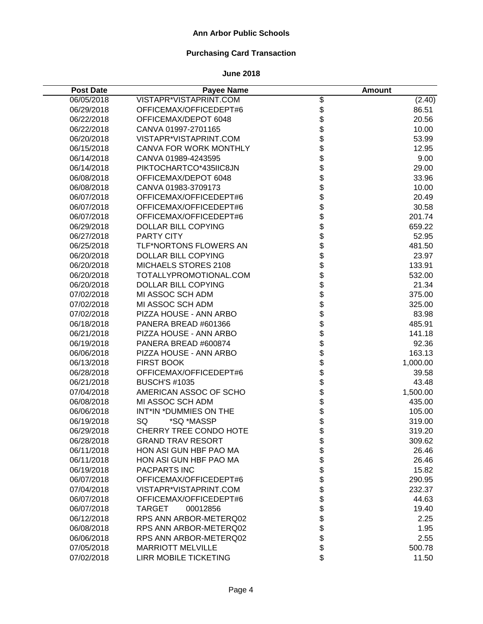# **Purchasing Card Transaction**

| <b>Post Date</b> | <b>Payee Name</b>            |                 | <b>Amount</b> |
|------------------|------------------------------|-----------------|---------------|
| 06/05/2018       | VISTAPR*VISTAPRINT.COM       |                 | (2.40)        |
| 06/29/2018       | OFFICEMAX/OFFICEDEPT#6       |                 | 86.51         |
| 06/22/2018       | OFFICEMAX/DEPOT 6048         | \$<br>\$        | 20.56         |
| 06/22/2018       | CANVA 01997-2701165          | \$              | 10.00         |
| 06/20/2018       | VISTAPR*VISTAPRINT.COM       | \$              | 53.99         |
| 06/15/2018       | CANVA FOR WORK MONTHLY       | \$              | 12.95         |
| 06/14/2018       | CANVA 01989-4243595          | \$              | 9.00          |
| 06/14/2018       | PIKTOCHARTCO*435IIC8JN       | \$              | 29.00         |
| 06/08/2018       | OFFICEMAX/DEPOT 6048         | \$              | 33.96         |
| 06/08/2018       | CANVA 01983-3709173          | \$              | 10.00         |
| 06/07/2018       | OFFICEMAX/OFFICEDEPT#6       | \$              | 20.49         |
| 06/07/2018       | OFFICEMAX/OFFICEDEPT#6       | \$              | 30.58         |
| 06/07/2018       | OFFICEMAX/OFFICEDEPT#6       | \$              | 201.74        |
| 06/29/2018       | <b>DOLLAR BILL COPYING</b>   | \$              | 659.22        |
| 06/27/2018       | <b>PARTY CITY</b>            | \$              | 52.95         |
| 06/25/2018       | TLF*NORTONS FLOWERS AN       |                 | 481.50        |
| 06/20/2018       | <b>DOLLAR BILL COPYING</b>   |                 | 23.97         |
| 06/20/2018       | MICHAELS STORES 2108         | \$\$\$\$\$      | 133.91        |
| 06/20/2018       | TOTALLYPROMOTIONAL.COM       |                 | 532.00        |
| 06/20/2018       | <b>DOLLAR BILL COPYING</b>   |                 | 21.34         |
| 07/02/2018       | MI ASSOC SCH ADM             |                 | 375.00        |
| 07/02/2018       | MI ASSOC SCH ADM             |                 | 325.00        |
| 07/02/2018       | PIZZA HOUSE - ANN ARBO       | \$\$            | 83.98         |
| 06/18/2018       | PANERA BREAD #601366         | \$              | 485.91        |
| 06/21/2018       | PIZZA HOUSE - ANN ARBO       | \$              | 141.18        |
| 06/19/2018       | PANERA BREAD #600874         | \$              | 92.36         |
| 06/06/2018       | PIZZA HOUSE - ANN ARBO       | \$              | 163.13        |
| 06/13/2018       | <b>FIRST BOOK</b>            | \$              | 1,000.00      |
| 06/28/2018       | OFFICEMAX/OFFICEDEPT#6       | \$              | 39.58         |
| 06/21/2018       | <b>BUSCH'S #1035</b>         | \$              | 43.48         |
| 07/04/2018       | AMERICAN ASSOC OF SCHO       | \$              | 1,500.00      |
| 06/08/2018       | MI ASSOC SCH ADM             | \$              | 435.00        |
| 06/06/2018       | INT*IN *DUMMIES ON THE       |                 | 105.00        |
| 06/19/2018       | *SQ *MASSP<br>SQ             | <b>ዓ ቁ</b><br>የ | 319.00        |
| 06/29/2018       | CHERRY TREE CONDO HOTE       |                 | 319.20        |
| 06/28/2018       | <b>GRAND TRAV RESORT</b>     | \$              | 309.62        |
| 06/11/2018       | HON ASI GUN HBF PAO MA       | \$              | 26.46         |
| 06/11/2018       | HON ASI GUN HBF PAO MA       | \$              | 26.46         |
| 06/19/2018       | <b>PACPARTS INC</b>          | \$              | 15.82         |
| 06/07/2018       | OFFICEMAX/OFFICEDEPT#6       | \$              | 290.95        |
| 07/04/2018       | VISTAPR*VISTAPRINT.COM       | \$              | 232.37        |
| 06/07/2018       | OFFICEMAX/OFFICEDEPT#6       | \$              | 44.63         |
| 06/07/2018       | <b>TARGET</b><br>00012856    | \$              | 19.40         |
| 06/12/2018       | RPS ANN ARBOR-METERQ02       | \$              | 2.25          |
| 06/08/2018       | RPS ANN ARBOR-METERQ02       | \$              | 1.95          |
| 06/06/2018       | RPS ANN ARBOR-METERQ02       | \$              | 2.55          |
| 07/05/2018       | <b>MARRIOTT MELVILLE</b>     | \$              | 500.78        |
| 07/02/2018       | <b>LIRR MOBILE TICKETING</b> | \$              | 11.50         |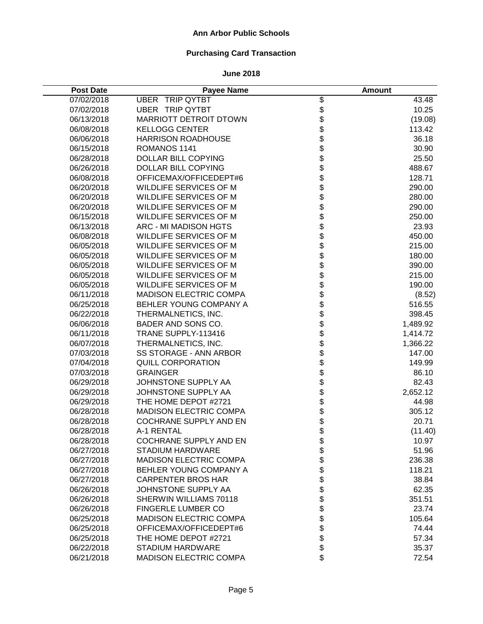# **Purchasing Card Transaction**

| <b>Post Date</b> | <b>Payee Name</b>             |              | <b>Amount</b> |
|------------------|-------------------------------|--------------|---------------|
| 07/02/2018       | <b>UBER TRIP QYTBT</b>        |              | 43.48         |
| 07/02/2018       | <b>UBER TRIP QYTBT</b>        |              | 10.25         |
| 06/13/2018       | <b>MARRIOTT DETROIT DTOWN</b> | \$\$\$\$     | (19.08)       |
| 06/08/2018       | <b>KELLOGG CENTER</b>         |              | 113.42        |
| 06/06/2018       | <b>HARRISON ROADHOUSE</b>     | \$           | 36.18         |
| 06/15/2018       | ROMANOS 1141                  | \$           | 30.90         |
| 06/28/2018       | DOLLAR BILL COPYING           |              | 25.50         |
| 06/26/2018       | DOLLAR BILL COPYING           | \$<br>\$     | 488.67        |
| 06/08/2018       | OFFICEMAX/OFFICEDEPT#6        | \$           | 128.71        |
| 06/20/2018       | WILDLIFE SERVICES OF M        | \$           | 290.00        |
| 06/20/2018       | WILDLIFE SERVICES OF M        | \$           | 280.00        |
| 06/20/2018       | WILDLIFE SERVICES OF M        | \$           | 290.00        |
| 06/15/2018       | WILDLIFE SERVICES OF M        | \$           | 250.00        |
| 06/13/2018       | ARC - MI MADISON HGTS         | \$           | 23.93         |
| 06/08/2018       | WILDLIFE SERVICES OF M        |              | 450.00        |
| 06/05/2018       | WILDLIFE SERVICES OF M        | \$<br>\$     | 215.00        |
| 06/05/2018       | WILDLIFE SERVICES OF M        |              | 180.00        |
| 06/05/2018       | WILDLIFE SERVICES OF M        |              | 390.00        |
| 06/05/2018       | WILDLIFE SERVICES OF M        |              | 215.00        |
| 06/05/2018       | WILDLIFE SERVICES OF M        |              | 190.00        |
| 06/11/2018       | <b>MADISON ELECTRIC COMPA</b> | \$\$\$\$\$\$ | (8.52)        |
| 06/25/2018       | BEHLER YOUNG COMPANY A        |              | 516.55        |
| 06/22/2018       | THERMALNETICS, INC.           |              | 398.45        |
| 06/06/2018       | BADER AND SONS CO.            | \$\$         | 1,489.92      |
| 06/11/2018       | TRANE SUPPLY-113416           |              | 1,414.72      |
| 06/07/2018       | THERMALNETICS, INC.           | \$           | 1,366.22      |
| 07/03/2018       | SS STORAGE - ANN ARBOR        | \$           | 147.00        |
| 07/04/2018       | <b>QUILL CORPORATION</b>      | \$           | 149.99        |
| 07/03/2018       | <b>GRAINGER</b>               | \$           | 86.10         |
| 06/29/2018       | JOHNSTONE SUPPLY AA           | \$           | 82.43         |
| 06/29/2018       | JOHNSTONE SUPPLY AA           | \$           | 2,652.12      |
| 06/29/2018       | THE HOME DEPOT #2721          | \$           | 44.98         |
| 06/28/2018       | <b>MADISON ELECTRIC COMPA</b> | \$           | 305.12        |
| 06/28/2018       | COCHRANE SUPPLY AND EN        | \$           | 20.71         |
| 06/28/2018       | A-1 RENTAL                    | \$           | (11.40)       |
| 06/28/2018       | <b>COCHRANE SUPPLY AND EN</b> | \$           | 10.97         |
| 06/27/2018       | <b>STADIUM HARDWARE</b>       | \$           | 51.96         |
| 06/27/2018       | <b>MADISON ELECTRIC COMPA</b> | \$           | 236.38        |
| 06/27/2018       | BEHLER YOUNG COMPANY A        | \$           | 118.21        |
| 06/27/2018       | <b>CARPENTER BROS HAR</b>     | \$           | 38.84         |
| 06/26/2018       | JOHNSTONE SUPPLY AA           | \$           | 62.35         |
| 06/26/2018       | SHERWIN WILLIAMS 70118        | \$           | 351.51        |
| 06/26/2018       | <b>FINGERLE LUMBER CO</b>     | \$           | 23.74         |
| 06/25/2018       | <b>MADISON ELECTRIC COMPA</b> | \$           | 105.64        |
| 06/25/2018       | OFFICEMAX/OFFICEDEPT#6        | \$           | 74.44         |
| 06/25/2018       | THE HOME DEPOT #2721          | \$           | 57.34         |
| 06/22/2018       | STADIUM HARDWARE              | \$           | 35.37         |
| 06/21/2018       | <b>MADISON ELECTRIC COMPA</b> | \$           | 72.54         |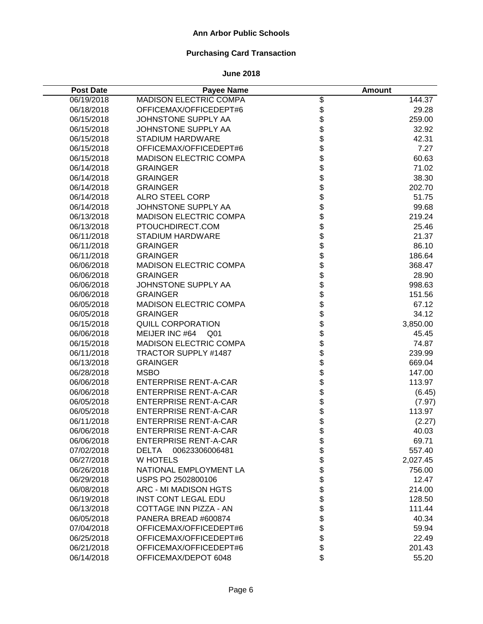# **Purchasing Card Transaction**

| <b>Post Date</b> | <b>Payee Name</b>              |            | <b>Amount</b> |
|------------------|--------------------------------|------------|---------------|
| 06/19/2018       | <b>MADISON ELECTRIC COMPA</b>  |            | 144.37        |
| 06/18/2018       | OFFICEMAX/OFFICEDEPT#6         |            | 29.28         |
| 06/15/2018       | JOHNSTONE SUPPLY AA            | \$\$\$\$\$ | 259.00        |
| 06/15/2018       | JOHNSTONE SUPPLY AA            |            | 32.92         |
| 06/15/2018       | <b>STADIUM HARDWARE</b>        |            | 42.31         |
| 06/15/2018       | OFFICEMAX/OFFICEDEPT#6         | \$         | 7.27          |
| 06/15/2018       | MADISON ELECTRIC COMPA         |            | 60.63         |
| 06/14/2018       | <b>GRAINGER</b>                | \$<br>\$   | 71.02         |
| 06/14/2018       | <b>GRAINGER</b>                | \$         | 38.30         |
| 06/14/2018       | <b>GRAINGER</b>                | \$         | 202.70        |
| 06/14/2018       | <b>ALRO STEEL CORP</b>         | \$         | 51.75         |
| 06/14/2018       | JOHNSTONE SUPPLY AA            | \$         | 99.68         |
| 06/13/2018       | <b>MADISON ELECTRIC COMPA</b>  | \$         | 219.24        |
| 06/13/2018       | PTOUCHDIRECT.COM               | \$         | 25.46         |
| 06/11/2018       | <b>STADIUM HARDWARE</b>        | \$         | 21.37         |
| 06/11/2018       | <b>GRAINGER</b>                | \$         | 86.10         |
| 06/11/2018       | <b>GRAINGER</b>                | \$         | 186.64        |
| 06/06/2018       | <b>MADISON ELECTRIC COMPA</b>  | \$         | 368.47        |
| 06/06/2018       | <b>GRAINGER</b>                |            | 28.90         |
| 06/06/2018       | JOHNSTONE SUPPLY AA            | \$\$\$     | 998.63        |
| 06/06/2018       | <b>GRAINGER</b>                |            | 151.56        |
| 06/05/2018       | <b>MADISON ELECTRIC COMPA</b>  |            | 67.12         |
| 06/05/2018       | <b>GRAINGER</b>                | \$         | 34.12         |
| 06/15/2018       | <b>QUILL CORPORATION</b>       | \$<br>\$   | 3,850.00      |
| 06/06/2018       | MEIJER INC #64 Q01             |            | 45.45         |
| 06/15/2018       | <b>MADISON ELECTRIC COMPA</b>  | \$         | 74.87         |
| 06/11/2018       | <b>TRACTOR SUPPLY #1487</b>    | \$         | 239.99        |
| 06/13/2018       | <b>GRAINGER</b>                | \$         | 669.04        |
| 06/28/2018       | <b>MSBO</b>                    | \$         | 147.00        |
| 06/06/2018       | <b>ENTERPRISE RENT-A-CAR</b>   | \$         | 113.97        |
| 06/06/2018       | <b>ENTERPRISE RENT-A-CAR</b>   | \$         | (6.45)        |
| 06/05/2018       | <b>ENTERPRISE RENT-A-CAR</b>   | \$<br>\$   | (7.97)        |
| 06/05/2018       | <b>ENTERPRISE RENT-A-CAR</b>   |            | 113.97        |
| 06/11/2018       | <b>ENTERPRISE RENT-A-CAR</b>   | \$         | (2.27)        |
| 06/06/2018       | <b>ENTERPRISE RENT-A-CAR</b>   | \$         | 40.03         |
| 06/06/2018       | <b>ENTERPRISE RENT-A-CAR</b>   | \$         | 69.71         |
| 07/02/2018       | <b>DELTA</b><br>00623306006481 | \$\$       | 557.40        |
| 06/27/2018       | <b>W HOTELS</b>                |            | 2,027.45      |
| 06/26/2018       | NATIONAL EMPLOYMENT LA         |            | 756.00        |
| 06/29/2018       | USPS PO 2502800106             | \$         | 12.47         |
| 06/08/2018       | <b>ARC - MI MADISON HGTS</b>   | \$         | 214.00        |
| 06/19/2018       | <b>INST CONT LEGAL EDU</b>     | \$         | 128.50        |
| 06/13/2018       | COTTAGE INN PIZZA - AN         | \$         | 111.44        |
| 06/05/2018       | PANERA BREAD #600874           | \$         | 40.34         |
| 07/04/2018       | OFFICEMAX/OFFICEDEPT#6         | \$         | 59.94         |
| 06/25/2018       | OFFICEMAX/OFFICEDEPT#6         | \$         | 22.49         |
| 06/21/2018       | OFFICEMAX/OFFICEDEPT#6         | \$         | 201.43        |
| 06/14/2018       | OFFICEMAX/DEPOT 6048           | \$         | 55.20         |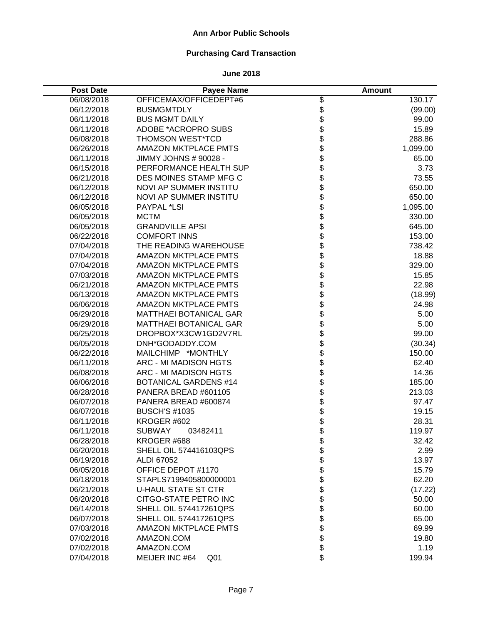# **Purchasing Card Transaction**

| <b>Post Date</b> | <b>Payee Name</b>                 |              | <b>Amount</b> |
|------------------|-----------------------------------|--------------|---------------|
| 06/08/2018       | OFFICEMAX/OFFICEDEPT#6            |              | 130.17        |
| 06/12/2018       | <b>BUSMGMTDLY</b>                 |              | (99.00)       |
| 06/11/2018       | <b>BUS MGMT DAILY</b>             | \$\$\$       | 99.00         |
| 06/11/2018       | ADOBE *ACROPRO SUBS               |              | 15.89         |
| 06/08/2018       | <b>THOMSON WEST*TCD</b>           | \$\$         | 288.86        |
| 06/26/2018       | <b>AMAZON MKTPLACE PMTS</b>       |              | 1,099.00      |
| 06/11/2018       | JIMMY JOHNS # 90028 -             |              | 65.00         |
| 06/15/2018       | PERFORMANCE HEALTH SUP            | \$           | 3.73          |
| 06/21/2018       | DES MOINES STAMP MFG C            | \$           | 73.55         |
| 06/12/2018       | <b>NOVI AP SUMMER INSTITU</b>     | \$           | 650.00        |
| 06/12/2018       | <b>NOVI AP SUMMER INSTITU</b>     | \$           | 650.00        |
| 06/05/2018       | PAYPAL *LSI                       | \$           | 1,095.00      |
| 06/05/2018       | <b>MCTM</b>                       | \$           | 330.00        |
| 06/05/2018       | <b>GRANDVILLE APSI</b>            | \$           | 645.00        |
| 06/22/2018       | <b>COMFORT INNS</b>               | \$           | 153.00        |
| 07/04/2018       | THE READING WAREHOUSE             |              | 738.42        |
| 07/04/2018       | <b>AMAZON MKTPLACE PMTS</b>       |              | 18.88         |
| 07/04/2018       | <b>AMAZON MKTPLACE PMTS</b>       |              | 329.00        |
| 07/03/2018       | AMAZON MKTPLACE PMTS              |              | 15.85         |
| 06/21/2018       | AMAZON MKTPLACE PMTS              |              | 22.98         |
| 06/13/2018       | <b>AMAZON MKTPLACE PMTS</b>       | \$\$\$\$\$\$ | (18.99)       |
| 06/06/2018       | <b>AMAZON MKTPLACE PMTS</b>       |              | 24.98         |
| 06/29/2018       | <b>MATTHAEI BOTANICAL GAR</b>     | \$<br>\$     | 5.00          |
| 06/29/2018       | <b>MATTHAEI BOTANICAL GAR</b>     |              | 5.00          |
| 06/25/2018       | DROPBOX*X3CW1GD2V7RL              | \$           | 99.00         |
| 06/05/2018       | DNH*GODADDY.COM                   | \$           | (30.34)       |
| 06/22/2018       | MAILCHIMP *MONTHLY                | \$           | 150.00        |
| 06/11/2018       | ARC - MI MADISON HGTS             | \$           | 62.40         |
| 06/08/2018       | ARC - MI MADISON HGTS             | \$           | 14.36         |
| 06/06/2018       | <b>BOTANICAL GARDENS #14</b>      | \$           | 185.00        |
| 06/28/2018       | PANERA BREAD #601105              | \$           | 213.03        |
| 06/07/2018       | PANERA BREAD #600874              | \$           | 97.47         |
| 06/07/2018       | <b>BUSCH'S #1035</b>              | \$           | 19.15         |
| 06/11/2018       | KROGER #602                       | \$<br>\$     | 28.31         |
| 06/11/2018       | <b>SUBWAY</b><br>03482411         |              | 119.97        |
| 06/28/2018       | KROGER #688                       | \$           | 32.42         |
| 06/20/2018       | SHELL OIL 574416103QPS            |              | 2.99          |
| 06/19/2018       | ALDI 67052                        |              | 13.97         |
| 06/05/2018       | OFFICE DEPOT #1170                | \$\$\$\$     | 15.79         |
| 06/18/2018       | STAPLS7199405800000001            |              | 62.20         |
| 06/21/2018       | <b>U-HAUL STATE ST CTR</b>        | \$           | (17.22)       |
| 06/20/2018       | CITGO-STATE PETRO INC             | \$           | 50.00         |
| 06/14/2018       | <b>SHELL OIL 574417261QPS</b>     | \$           | 60.00         |
| 06/07/2018       | <b>SHELL OIL 574417261QPS</b>     | \$           | 65.00         |
| 07/03/2018       | <b>AMAZON MKTPLACE PMTS</b>       | \$           | 69.99         |
| 07/02/2018       | AMAZON.COM                        | \$           | 19.80         |
| 07/02/2018       | AMAZON.COM                        | \$           | 1.19          |
| 07/04/2018       | MEIJER INC #64<br>Q <sub>01</sub> | \$           | 199.94        |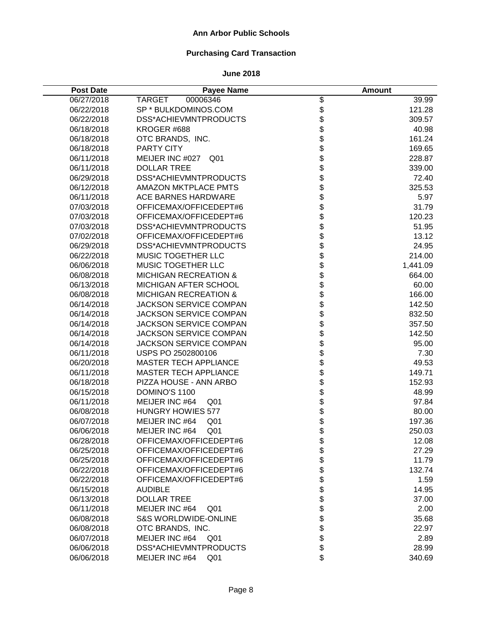# **Purchasing Card Transaction**

| <b>Post Date</b> | <b>Payee Name</b>                 |                  | <b>Amount</b> |
|------------------|-----------------------------------|------------------|---------------|
| 06/27/2018       | <b>TARGET</b><br>00006346         |                  | 39.99         |
| 06/22/2018       | SP * BULKDOMINOS.COM              |                  | 121.28        |
| 06/22/2018       | DSS*ACHIEVMNTPRODUCTS             | \$\$\$\$\$\$\$\$ | 309.57        |
| 06/18/2018       | KROGER #688                       |                  | 40.98         |
| 06/18/2018       | OTC BRANDS, INC.                  |                  | 161.24        |
| 06/18/2018       | PARTY CITY                        |                  | 169.65        |
| 06/11/2018       | MEIJER INC #027<br>Q01            |                  | 228.87        |
| 06/11/2018       | <b>DOLLAR TREE</b>                |                  | 339.00        |
| 06/29/2018       | DSS*ACHIEVMNTPRODUCTS             | \$               | 72.40         |
| 06/12/2018       | <b>AMAZON MKTPLACE PMTS</b>       | \$               | 325.53        |
| 06/11/2018       | <b>ACE BARNES HARDWARE</b>        | \$               | 5.97          |
| 07/03/2018       | OFFICEMAX/OFFICEDEPT#6            | \$               | 31.79         |
| 07/03/2018       | OFFICEMAX/OFFICEDEPT#6            | \$               | 120.23        |
| 07/03/2018       | DSS*ACHIEVMNTPRODUCTS             | \$               | 51.95         |
| 07/02/2018       | OFFICEMAX/OFFICEDEPT#6            | \$               | 13.12         |
| 06/29/2018       | DSS*ACHIEVMNTPRODUCTS             |                  | 24.95         |
| 06/22/2018       | MUSIC TOGETHER LLC                |                  | 214.00        |
| 06/06/2018       | MUSIC TOGETHER LLC                |                  | 1,441.09      |
| 06/08/2018       | <b>MICHIGAN RECREATION &amp;</b>  |                  | 664.00        |
| 06/13/2018       | MICHIGAN AFTER SCHOOL             |                  | 60.00         |
| 06/08/2018       | <b>MICHIGAN RECREATION &amp;</b>  | <b>88888888</b>  | 166.00        |
| 06/14/2018       | JACKSON SERVICE COMPAN            |                  | 142.50        |
| 06/14/2018       | JACKSON SERVICE COMPAN            |                  | 832.50        |
| 06/14/2018       | JACKSON SERVICE COMPAN            |                  | 357.50        |
| 06/14/2018       | <b>JACKSON SERVICE COMPAN</b>     | \$               | 142.50        |
| 06/14/2018       | JACKSON SERVICE COMPAN            | \$               | 95.00         |
| 06/11/2018       | USPS PO 2502800106                | \$               | 7.30          |
| 06/20/2018       | <b>MASTER TECH APPLIANCE</b>      | \$               | 49.53         |
| 06/11/2018       | <b>MASTER TECH APPLIANCE</b>      | \$               | 149.71        |
| 06/18/2018       | PIZZA HOUSE - ANN ARBO            | \$               | 152.93        |
| 06/15/2018       | DOMINO'S 1100                     | \$               | 48.99         |
| 06/11/2018       | MEIJER INC #64<br>Q <sub>01</sub> |                  | 97.84         |
| 06/08/2018       | <b>HUNGRY HOWIES 577</b>          | \$\$\$\$         | 80.00         |
| 06/07/2018       | MEIJER INC #64<br>Q <sub>01</sub> |                  | 197.36        |
| 06/06/2018       | MEIJER INC #64<br>Q <sub>01</sub> |                  | 250.03        |
| 06/28/2018       | OFFICEMAX/OFFICEDEPT#6            | \$               | 12.08         |
| 06/25/2018       | OFFICEMAX/OFFICEDEPT#6            | \$<br>\$         | 27.29         |
| 06/25/2018       | OFFICEMAX/OFFICEDEPT#6            |                  | 11.79         |
| 06/22/2018       | OFFICEMAX/OFFICEDEPT#6            | \$               | 132.74        |
| 06/22/2018       | OFFICEMAX/OFFICEDEPT#6            | \$               | 1.59          |
| 06/15/2018       | <b>AUDIBLE</b>                    | \$               | 14.95         |
| 06/13/2018       | <b>DOLLAR TREE</b>                | \$               | 37.00         |
| 06/11/2018       | MEIJER INC #64<br>Q <sub>01</sub> | \$               | 2.00          |
| 06/08/2018       | <b>S&amp;S WORLDWIDE-ONLINE</b>   | \$               | 35.68         |
| 06/08/2018       | OTC BRANDS, INC.                  | $\ddot{\$}$      | 22.97         |
| 06/07/2018       | MEIJER INC #64<br>Q01             | \$               | 2.89          |
| 06/06/2018       | DSS*ACHIEVMNTPRODUCTS             | \$               | 28.99         |
| 06/06/2018       | MEIJER INC #64<br>Q <sub>01</sub> | \$               | 340.69        |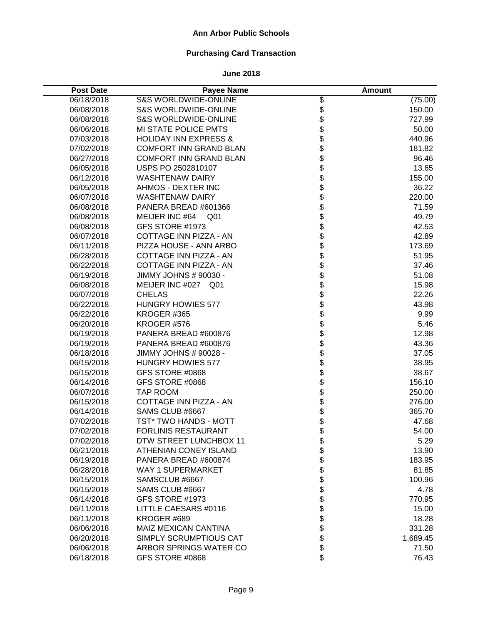# **Purchasing Card Transaction**

| <b>Post Date</b> | Payee Name                        |                  | <b>Amount</b> |
|------------------|-----------------------------------|------------------|---------------|
| 06/18/2018       | <b>S&amp;S WORLDWIDE-ONLINE</b>   |                  | (75.00)       |
| 06/08/2018       | <b>S&amp;S WORLDWIDE-ONLINE</b>   |                  | 150.00        |
| 06/08/2018       | <b>S&amp;S WORLDWIDE-ONLINE</b>   | \$\$\$\$\$\$\$   | 727.99        |
| 06/06/2018       | MI STATE POLICE PMTS              |                  | 50.00         |
| 07/03/2018       | <b>HOLIDAY INN EXPRESS &amp;</b>  |                  | 440.96        |
| 07/02/2018       | <b>COMFORT INN GRAND BLAN</b>     |                  | 181.82        |
| 06/27/2018       | <b>COMFORT INN GRAND BLAN</b>     |                  | 96.46         |
| 06/05/2018       | USPS PO 2502810107                |                  | 13.65         |
| 06/12/2018       | <b>WASHTENAW DAIRY</b>            | \$\$\$\$\$       | 155.00        |
| 06/05/2018       | AHMOS - DEXTER INC                |                  | 36.22         |
| 06/07/2018       | <b>WASHTENAW DAIRY</b>            |                  | 220.00        |
| 06/08/2018       | PANERA BREAD #601366              | \$               | 71.59         |
| 06/08/2018       | MEIJER INC #64<br>Q <sub>01</sub> | \$               | 49.79         |
| 06/08/2018       | GFS STORE #1973                   | \$               | 42.53         |
| 06/07/2018       | COTTAGE INN PIZZA - AN            |                  | 42.89         |
| 06/11/2018       | PIZZA HOUSE - ANN ARBO            |                  | 173.69        |
| 06/28/2018       | COTTAGE INN PIZZA - AN            |                  | 51.95         |
| 06/22/2018       | COTTAGE INN PIZZA - AN            | <b>88888888</b>  | 37.46         |
| 06/19/2018       | JIMMY JOHNS # 90030 -             |                  | 51.08         |
| 06/08/2018       | MEIJER INC #027 Q01               |                  | 15.98         |
| 06/07/2018       | <b>CHELAS</b>                     |                  | 22.26         |
| 06/22/2018       | <b>HUNGRY HOWIES 577</b>          |                  | 43.98         |
| 06/22/2018       | KROGER #365                       |                  | 9.99          |
| 06/20/2018       | KROGER #576                       |                  | 5.46          |
| 06/19/2018       | PANERA BREAD #600876              | \$\$\$           | 12.98         |
| 06/19/2018       | PANERA BREAD #600876              |                  | 43.36         |
| 06/18/2018       | JIMMY JOHNS # 90028 -             |                  | 37.05         |
| 06/15/2018       | <b>HUNGRY HOWIES 577</b>          | \$               | 38.95         |
| 06/15/2018       | GFS STORE #0868                   | \$               | 38.67         |
| 06/14/2018       | GFS STORE #0868                   | \$               | 156.10        |
| 06/07/2018       | TAP ROOM                          | \$               | 250.00        |
| 06/15/2018       | COTTAGE INN PIZZA - AN            | \$               | 276.00        |
| 06/14/2018       | SAMS CLUB #6667                   | \$               | 365.70        |
| 07/02/2018       | TST* TWO HANDS - MOTT             | \$<br>\$         | 47.68         |
| 07/02/2018       | <b>FORLINIS RESTAURANT</b>        |                  | 54.00         |
| 07/02/2018       | DTW STREET LUNCHBOX 11            | \$               | 5.29          |
| 06/21/2018       | ATHENIAN CONEY ISLAND             |                  | 13.90         |
| 06/19/2018       | PANERA BREAD #600874              |                  | 183.95        |
| 06/28/2018       | WAY 1 SUPERMARKET                 | \$\$\$\$\$\$\$\$ | 81.85         |
| 06/15/2018       | SAMSCLUB #6667                    |                  | 100.96        |
| 06/15/2018       | SAMS CLUB #6667                   |                  | 4.78          |
| 06/14/2018       | GFS STORE #1973                   |                  | 770.95        |
| 06/11/2018       | LITTLE CAESARS #0116              |                  | 15.00         |
| 06/11/2018       | KROGER #689                       | \$               | 18.28         |
| 06/06/2018       | <b>MAIZ MEXICAN CANTINA</b>       | \$               | 331.28        |
| 06/20/2018       | SIMPLY SCRUMPTIOUS CAT            | \$               | 1,689.45      |
| 06/06/2018       | ARBOR SPRINGS WATER CO            | \$               | 71.50         |
| 06/18/2018       | GFS STORE #0868                   | \$               | 76.43         |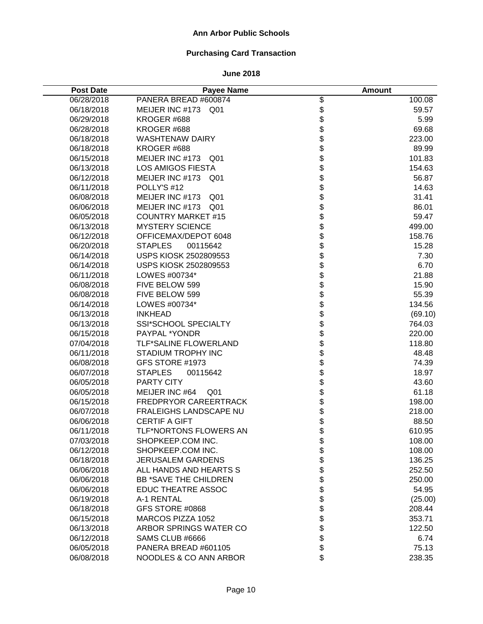# **Purchasing Card Transaction**

| <b>Post Date</b> | <b>Payee Name</b>                 |                          | <b>Amount</b> |
|------------------|-----------------------------------|--------------------------|---------------|
| 06/28/2018       | PANERA BREAD #600874              |                          | 100.08        |
| 06/18/2018       | MEIJER INC #173<br>Q01            |                          | 59.57         |
| 06/29/2018       | KROGER #688                       | \$\$\$\$\$\$\$\$\$\$\$\$ | 5.99          |
| 06/28/2018       | KROGER #688                       |                          | 69.68         |
| 06/18/2018       | <b>WASHTENAW DAIRY</b>            |                          | 223.00        |
| 06/18/2018       | KROGER #688                       |                          | 89.99         |
| 06/15/2018       | MEIJER INC #173 Q01               |                          | 101.83        |
| 06/13/2018       | <b>LOS AMIGOS FIESTA</b>          |                          | 154.63        |
| 06/12/2018       | MEIJER INC #173<br>Q01            |                          | 56.87         |
| 06/11/2018       | POLLY'S #12                       |                          | 14.63         |
| 06/08/2018       | MEIJER INC #173<br>Q01            | \$                       | 31.41         |
| 06/06/2018       | MEIJER INC #173<br>Q01            |                          | 86.01         |
| 06/05/2018       | <b>COUNTRY MARKET #15</b>         | \$                       | 59.47         |
| 06/13/2018       | <b>MYSTERY SCIENCE</b>            | \$                       | 499.00        |
| 06/12/2018       | OFFICEMAX/DEPOT 6048              | \$                       | 158.76        |
| 06/20/2018       | <b>STAPLES</b><br>00115642        |                          | 15.28         |
| 06/14/2018       | USPS KIOSK 2502809553             |                          | 7.30          |
| 06/14/2018       | USPS KIOSK 2502809553             |                          | 6.70          |
| 06/11/2018       | LOWES #00734*                     |                          | 21.88         |
| 06/08/2018       | FIVE BELOW 599                    |                          | 15.90         |
| 06/08/2018       | FIVE BELOW 599                    | <b>88888888888</b>       | 55.39         |
| 06/14/2018       | LOWES #00734*                     |                          | 134.56        |
| 06/13/2018       | <b>INKHEAD</b>                    |                          | (69.10)       |
| 06/13/2018       | <b>SSI*SCHOOL SPECIALTY</b>       |                          | 764.03        |
| 06/15/2018       | PAYPAL *YONDR                     |                          | 220.00        |
| 07/04/2018       | TLF*SALINE FLOWERLAND             |                          | 118.80        |
| 06/11/2018       | <b>STADIUM TROPHY INC</b>         | \$                       | 48.48         |
| 06/08/2018       | GFS STORE #1973                   | \$                       | 74.39         |
| 06/07/2018       | <b>STAPLES</b><br>00115642        | \$                       | 18.97         |
| 06/05/2018       | PARTY CITY                        | \$                       | 43.60         |
| 06/05/2018       | MEIJER INC #64<br>Q <sub>01</sub> | \$                       | 61.18         |
| 06/15/2018       | FREDPRYOR CAREERTRACK             | \$                       | 198.00        |
| 06/07/2018       | FRALEIGHS LANDSCAPE NU            | \$                       | 218.00        |
| 06/06/2018       | <b>CERTIF A GIFT</b>              | \$                       | 88.50         |
| 06/11/2018       | <b>TLF*NORTONS FLOWERS AN</b>     | \$                       | 610.95        |
| 07/03/2018       | SHOPKEEP.COM INC.                 | \$                       | 108.00        |
| 06/12/2018       | SHOPKEEP.COM INC.                 | \$\$                     | 108.00        |
| 06/18/2018       | <b>JERUSALEM GARDENS</b>          |                          | 136.25        |
| 06/06/2018       | ALL HANDS AND HEARTS S            |                          | 252.50        |
| 06/06/2018       | <b>BB *SAVE THE CHILDREN</b>      | \$                       | 250.00        |
| 06/06/2018       | <b>EDUC THEATRE ASSOC</b>         | \$                       | 54.95         |
| 06/19/2018       | A-1 RENTAL                        | \$                       | (25.00)       |
| 06/18/2018       | GFS STORE #0868                   | \$                       | 208.44        |
| 06/15/2018       | MARCOS PIZZA 1052                 | \$                       | 353.71        |
| 06/13/2018       | ARBOR SPRINGS WATER CO            | \$                       | 122.50        |
| 06/12/2018       | SAMS CLUB #6666                   | \$                       | 6.74          |
| 06/05/2018       | PANERA BREAD #601105              | \$                       | 75.13         |
| 06/08/2018       | NOODLES & CO ANN ARBOR            | \$                       | 238.35        |